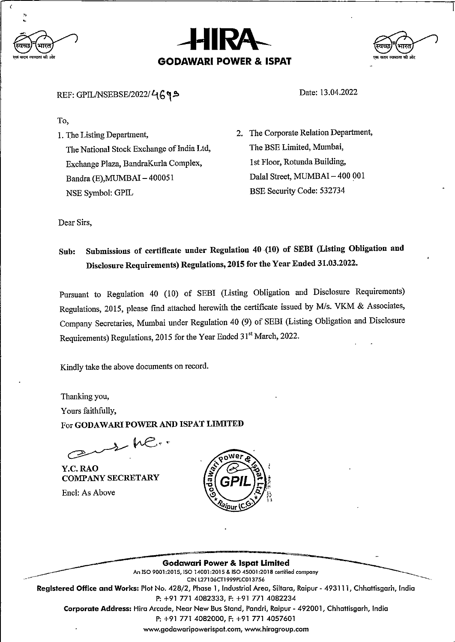





## REF: GPIL/NSEBSE/2022/4699

To.

1. The Listing Department,

The National Stock Exchange of India Ltd, Exchange Plaza, BandraKurla Complex, Bandra (E), MUMBAI - 400051 NSE Symbol: GPIL

2. The corporate Relation Department, The BSE Limited, Mumbai, 1 st Floor, Rotunda Building, Dalal Street, MUMBAI - 400 001 BSE Security Code: 532734

Date: 13.04.2022

Dear Sirs,

## Sub: Submissions of certificate under Regulation 40 (10) of SEBI (Listing Obligation and Disclosure Requirements) Regulations, 2015 for the Year Ended 31.03.2022.

Pursuant to Regulation 40 (10) of SEBI (Listing Obligation and Disclosure Requirements) Regulations, 2015, please find attached herewith the certificate issued by M/s. VKM & Associates, Company Secretaries, Munbai under Regulation 40 (9) of SEBI (Listing Obligation and Disclosure Requirements) Regulations, 2015 for the Year Ended 31<sup>st</sup> March, 2022.

Kindly take the above documents on record.

Thanking you, Yours faithfully, For GODAWARI POWER AND ISPAT LIMITED

 $2-10$ 

Y.C. RA0 COMPANY SECRETARY

Encl: As Above



**Godawari Power & Ispat Limited** An ISO 9001:2015, ISO 14001:2015 & ISO 45001:2018 certified company CIN L27106CT1999PLC013756 Registered Office and Works: Plot No. 428/2, Phase 1, Industrial Area, Siltara, Raipur -493111, Chhattisgarh, India P: +91 771 4082333, F: +91 771 4082234 Corporate Address: Hira Arcade, Near New Bus Stand, Pandri, Raipur - 492001, Chhattisgarh, India P: +91 771 4082000, F: +91 771 4057601 www.godawaripowerispat.com, www.hiragroup.com